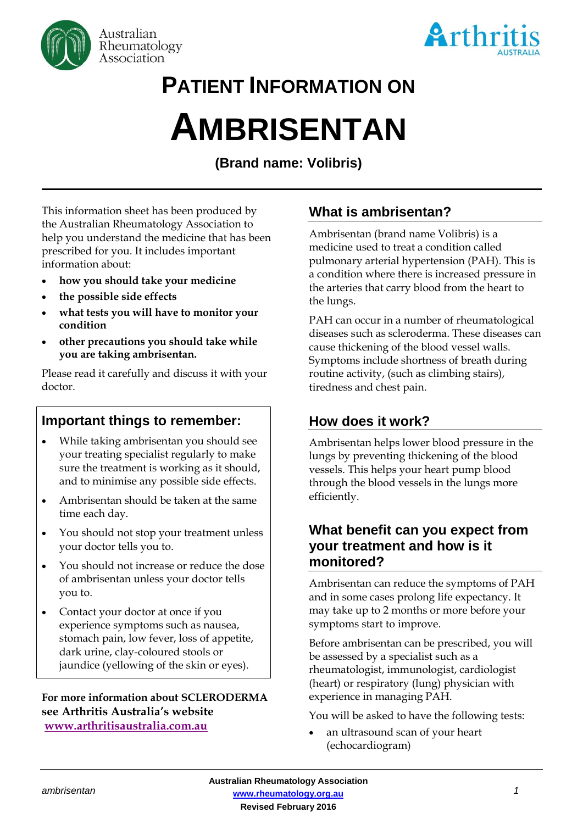



## **PATIENT INFORMATION ON**

# **AMBRISENTAN**

**(Brand name: Volibris)**

This information sheet has been produced by the Australian Rheumatology Association to help you understand the medicine that has been prescribed for you. It includes important information about:

- **how you should take your medicine**
- **the possible side effects**
- **what tests you will have to monitor your condition**
- **other precautions you should take while you are taking ambrisentan.**

Please read it carefully and discuss it with your doctor.

## **Important things to remember:**

- While taking ambrisentan you should see your treating specialist regularly to make sure the treatment is working as it should, and to minimise any possible side effects.
- Ambrisentan should be taken at the same time each day.
- You should not stop your treatment unless your doctor tells you to.
- You should not increase or reduce the dose of ambrisentan unless your doctor tells you to.
- Contact your doctor at once if you experience symptoms such as nausea, stomach pain, low fever, loss of appetite, dark urine, clay-coloured stools or jaundice (yellowing of the skin or eyes).

#### **For more information about SCLERODERMA see Arthritis Australia's website [www.arthritisaustralia.com.au](http://www.arthritisaustralia.com.au/index.php/arthritis-information/information-sheets.html)**

## **What is ambrisentan?**

Ambrisentan (brand name Volibris) is a medicine used to treat a condition called pulmonary arterial hypertension (PAH). This is a condition where there is increased [pressure](http://www.rxlist.com/script/main/art.asp?articlekey=3756) in the arteries that carry blood from the heart to the lungs.

PAH can occur in a number of rheumatological diseases such as scleroderma. These diseases can cause thickening of the blood vessel walls. Symptoms include shortness of breath during routine activity, (such as climbing stairs), tiredness and chest pain.

## **How does it work?**

Ambrisentan helps lower blood pressure in the lungs by preventing thickening of the blood vessels. This helps your heart pump blood through the blood vessels in the lungs more efficiently.

### **What benefit can you expect from your treatment and how is it monitored?**

Ambrisentan can reduce the symptoms of PAH and in some cases prolong life expectancy. It may take up to 2 months or more before your symptoms start to improve.

Before ambrisentan can be prescribed, you will be assessed by a specialist such as a rheumatologist, immunologist, cardiologist (heart) or respiratory (lung) physician with experience in managing PAH.

You will be asked to have the following tests:

 an ultrasound scan of your heart (echocardiogram)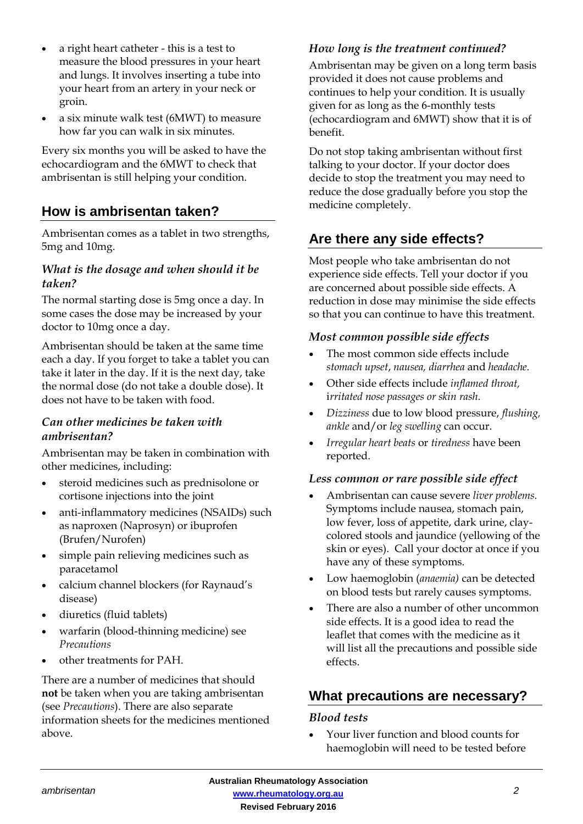- a right heart catheter this is a test to measure the blood pressures in your heart and lungs. It involves inserting a tube into your heart from an artery in your neck or groin.
- a six minute walk test (6MWT) to measure how far you can walk in six minutes.

Every six months you will be asked to have the echocardiogram and the 6MWT to check that ambrisentan is still helping your condition.

## **How is ambrisentan taken?**

Ambrisentan comes as a tablet in two strengths, 5mg and 10mg.

#### *What is the dosage and when should it be taken?*

The normal starting dose is 5mg once a day. In some cases the dose may be increased by your doctor to 10mg once a day.

Ambrisentan should be taken at the same time each a day. If you forget to take a tablet you can take it later in the day. If it is the next day, take the normal dose (do not take a double dose). It does not have to be taken with food.

#### *Can other medicines be taken with ambrisentan?*

Ambrisentan may be taken in combination with other medicines, including:

- steroid medicines such as prednisolone or cortisone injections into the joint
- anti-inflammatory medicines (NSAIDs) such as naproxen (Naprosyn) or ibuprofen (Brufen/Nurofen)
- simple pain relieving medicines such as paracetamol
- calcium channel blockers (for Raynaud's disease)
- diuretics (fluid tablets)
- warfarin (blood-thinning medicine) see *Precautions*
- other treatments for PAH.

There are a number of medicines that should **not** be taken when you are taking ambrisentan (see *Precautions*). There are also separate information sheets for the medicines mentioned above.

#### *How long is the treatment continued?*

Ambrisentan may be given on a long term basis provided it does not cause problems and continues to help your condition. It is usually given for as long as the 6-monthly tests (echocardiogram and 6MWT) show that it is of benefit.

Do not stop taking ambrisentan without first talking to your doctor. If your doctor does decide to stop the treatment you may need to reduce the dose gradually before you stop the medicine completely.

## **Are there any side effects?**

Most people who take ambrisentan do not experience side effects. Tell your doctor if you are concerned about possible side effects. A reduction in dose may minimise the side effects so that you can continue to have this treatment.

#### *Most common possible side effects*

- The most common side effects include *stomach upset*, *nausea, diarrhea* and *headache.*
- Other side effects include *inflamed [throat,](http://www.rxlist.com/script/main/art.asp?articlekey=53392)* i*rritated [nose](http://www.rxlist.com/script/main/art.asp?articlekey=13183) passages or skin rash*.
- *Dizziness* due to [low blood pressure,](http://www.rxlist.com/script/main/art.asp?articlekey=7670) *flushing, [ankle](http://www.rxlist.com/script/main/art.asp?articlekey=8983)* and/or *[leg](http://www.rxlist.com/script/main/art.asp?articlekey=8739) swelling* can occur.
- *Irregular heart beats* or *tiredness* have been reported.

#### *Less common or rare possible side effect*

- Ambrisentan can cause severe *liver problems.* Symptoms include nausea, stomach pain, low fever, loss of appetite, dark urine, claycolored stools and jaundice (yellowing of the skin or eyes). Call your doctor at once if you have any of these symptoms.
- Low haemoglobin (*anaemia)* can be detected on blood tests but rarely causes symptoms.
- There are also a number of other uncommon side effects. It is a good idea to read the leaflet that comes with the medicine as it will list all the precautions and possible side effects.

### **What precautions are necessary?**

#### *Blood tests*

 Your liver function and blood counts for haemoglobin will need to be tested before